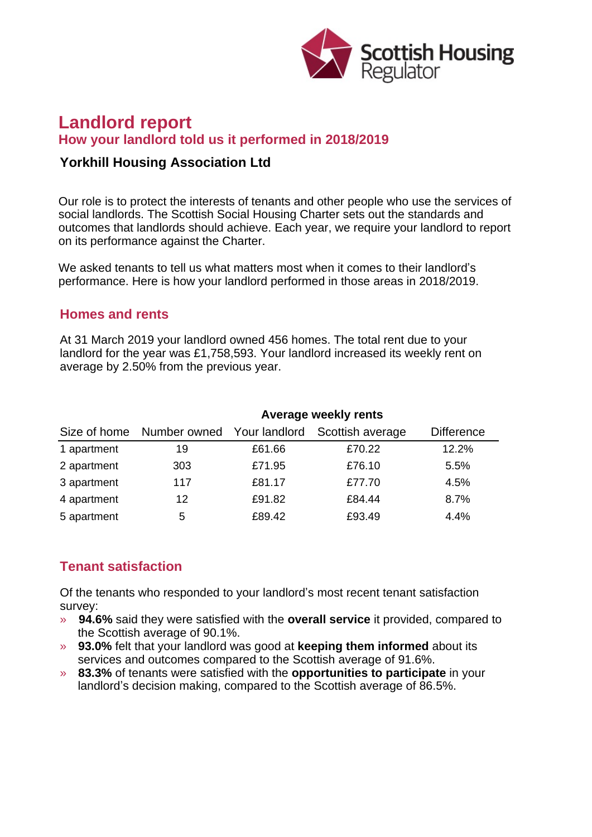

# **Landlord report How your landlord told us it performed in 2018/2019**

#### **Yorkhill Housing Association Ltd**

Our role is to protect the interests of tenants and other people who use the services of social landlords. The Scottish Social Housing Charter sets out the standards and outcomes that landlords should achieve. Each year, we require your landlord to report on its performance against the Charter.

We asked tenants to tell us what matters most when it comes to their landlord's performance. Here is how your landlord performed in those areas in 2018/2019.

#### **Homes and rents**

At 31 March 2019 your landlord owned 456 homes. The total rent due to your landlord for the year was £1,758,593. Your landlord increased its weekly rent on average by 2.50% from the previous year.

|             | Average weekly rents                    |        |                  |                   |
|-------------|-----------------------------------------|--------|------------------|-------------------|
|             | Size of home Number owned Your landlord |        | Scottish average | <b>Difference</b> |
| 1 apartment | 19                                      | £61.66 | £70.22           | 12.2%             |
| 2 apartment | 303                                     | £71.95 | £76.10           | 5.5%              |
| 3 apartment | 117                                     | £81.17 | £77.70           | 4.5%              |
| 4 apartment | 12                                      | £91.82 | £84.44           | 8.7%              |
| 5 apartment | 5                                       | £89.42 | £93.49           | 4.4%              |

# **Tenant satisfaction**

Of the tenants who responded to your landlord's most recent tenant satisfaction survey:

- » **94.6%** said they were satisfied with the **overall service** it provided, compared to the Scottish average of 90.1%.
- » **93.0%** felt that your landlord was good at **keeping them informed** about its services and outcomes compared to the Scottish average of 91.6%.
- » **83.3%** of tenants were satisfied with the **opportunities to participate** in your landlord's decision making, compared to the Scottish average of 86.5%.